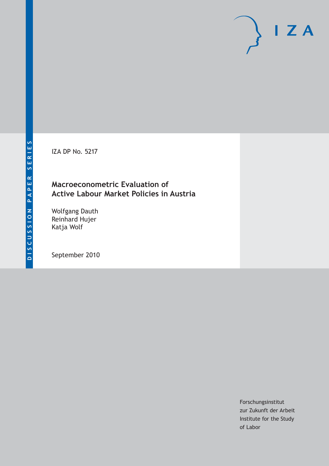IZA DP No. 5217

# **Macroeconometric Evaluation of Active Labour Market Policies in Austria**

Wolfgang Dauth Reinhard Hujer Katja Wolf

September 2010

Forschungsinstitut zur Zukunft der Arbeit Institute for the Study of Labor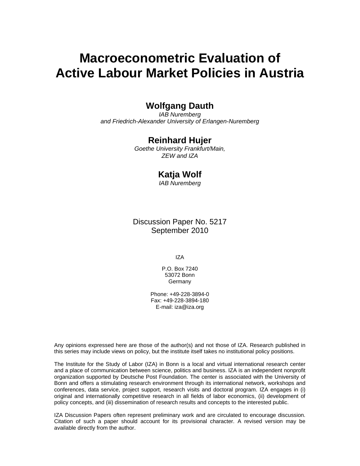# **Macroeconometric Evaluation of Active Labour Market Policies in Austria**

# **Wolfgang Dauth**

*IAB Nuremberg and Friedrich-Alexander University of Erlangen-Nuremberg* 

# **Reinhard Hujer**

*Goethe University Frankfurt/Main, ZEW and IZA* 

### **Katja Wolf**

*IAB Nuremberg* 

Discussion Paper No. 5217 September 2010

IZA

P.O. Box 7240 53072 Bonn **Germany** 

Phone: +49-228-3894-0 Fax: +49-228-3894-180 E-mail: iza@iza.org

Any opinions expressed here are those of the author(s) and not those of IZA. Research published in this series may include views on policy, but the institute itself takes no institutional policy positions.

The Institute for the Study of Labor (IZA) in Bonn is a local and virtual international research center and a place of communication between science, politics and business. IZA is an independent nonprofit organization supported by Deutsche Post Foundation. The center is associated with the University of Bonn and offers a stimulating research environment through its international network, workshops and conferences, data service, project support, research visits and doctoral program. IZA engages in (i) original and internationally competitive research in all fields of labor economics, (ii) development of policy concepts, and (iii) dissemination of research results and concepts to the interested public.

IZA Discussion Papers often represent preliminary work and are circulated to encourage discussion. Citation of such a paper should account for its provisional character. A revised version may be available directly from the author.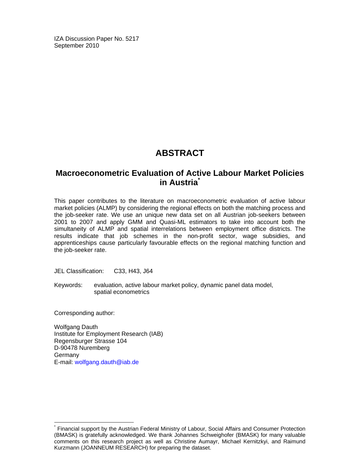IZA Discussion Paper No. 5217 September 2010

# **ABSTRACT**

# **Macroeconometric Evaluation of Active Labour Market Policies in Austria\***

This paper contributes to the literature on macroeconometric evaluation of active labour market policies (ALMP) by considering the regional effects on both the matching process and the job-seeker rate. We use an unique new data set on all Austrian job-seekers between 2001 to 2007 and apply GMM and Quasi-ML estimators to take into account both the simultaneity of ALMP and spatial interrelations between employment office districts. The results indicate that job schemes in the non-profit sector, wage subsidies, and apprenticeships cause particularly favourable effects on the regional matching function and the job-seeker rate.

JEL Classification: C33, H43, J64

Keywords: evaluation, active labour market policy, dynamic panel data model, spatial econometrics

Corresponding author:

-

Wolfgang Dauth Institute for Employment Research (IAB) Regensburger Strasse 104 D-90478 Nuremberg Germany E-mail: wolfgang.dauth@iab.de

<sup>\*</sup> Financial support by the Austrian Federal Ministry of Labour, Social Affairs and Consumer Protection (BMASK) is gratefully acknowledged. We thank Johannes Schweighofer (BMASK) for many valuable comments on this research project as well as Christine Aumayr, Michael Kernitzkyi, and Raimund Kurzmann (JOANNEUM RESEARCH) for preparing the dataset.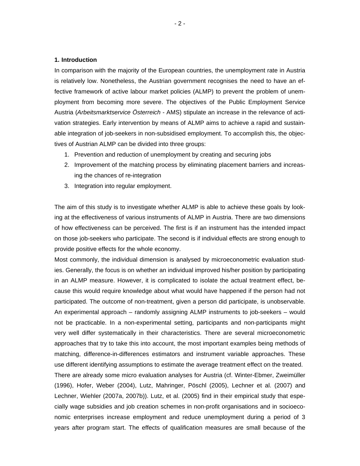#### **1. Introduction**

In comparison with the majority of the European countries, the unemployment rate in Austria is relatively low. Nonetheless, the Austrian government recognises the need to have an effective framework of active labour market policies (ALMP) to prevent the problem of unemployment from becoming more severe. The objectives of the Public Employment Service Austria (*Arbeitsmarktservice Österreich -* AMS) stipulate an increase in the relevance of activation strategies. Early intervention by means of ALMP aims to achieve a rapid and sustainable integration of job-seekers in non-subsidised employment. To accomplish this, the objectives of Austrian ALMP can be divided into three groups:

- 1. Prevention and reduction of unemployment by creating and securing jobs
- 2. Improvement of the matching process by eliminating placement barriers and increasing the chances of re-integration
- 3. Integration into regular employment.

The aim of this study is to investigate whether ALMP is able to achieve these goals by looking at the effectiveness of various instruments of ALMP in Austria. There are two dimensions of how effectiveness can be perceived. The first is if an instrument has the intended impact on those job-seekers who participate. The second is if individual effects are strong enough to provide positive effects for the whole economy.

Most commonly, the individual dimension is analysed by microeconometric evaluation studies. Generally, the focus is on whether an individual improved his/her position by participating in an ALMP measure. However, it is complicated to isolate the actual treatment effect, because this would require knowledge about what would have happened if the person had not participated. The outcome of non-treatment, given a person did participate, is unobservable. An experimental approach – randomly assigning ALMP instruments to job-seekers – would not be practicable. In a non-experimental setting, participants and non-participants might very well differ systematically in their characteristics. There are several microeconometric approaches that try to take this into account, the most important examples being methods of matching, difference-in-differences estimators and instrument variable approaches. These use different identifying assumptions to estimate the average treatment effect on the treated. There are already some micro evaluation analyses for Austria (cf. Winter-Ebmer, Zweimüller (1996), Hofer, Weber (2004), Lutz, Mahringer, Pöschl (2005), Lechner et al. (2007) and

Lechner, Wiehler (2007a, 2007b)). Lutz, et al. (2005) find in their empirical study that especially wage subsidies and job creation schemes in non-profit organisations and in socioeconomic enterprises increase employment and reduce unemployment during a period of 3 years after program start. The effects of qualification measures are small because of the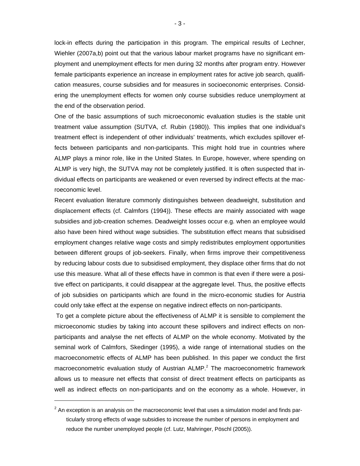lock-in effects during the participation in this program. The empirical results of Lechner, Wiehler (2007a,b) point out that the various labour market programs have no significant employment and unemployment effects for men during 32 months after program entry. However female participants experience an increase in employment rates for active job search, qualification measures, course subsidies and for measures in socioeconomic enterprises. Considering the unemployment effects for women only course subsidies reduce unemployment at the end of the observation period.

One of the basic assumptions of such microeconomic evaluation studies is the stable unit treatment value assumption (SUTVA, cf. Rubin (1980)). This implies that one individual's treatment effect is independent of other individuals' treatments, which excludes spillover effects between participants and non-participants. This might hold true in countries where ALMP plays a minor role, like in the United States. In Europe, however, where spending on ALMP is very high, the SUTVA may not be completely justified. It is often suspected that individual effects on participants are weakened or even reversed by indirect effects at the macroeconomic level.

Recent evaluation literature commonly distinguishes between deadweight, substitution and displacement effects (cf. Calmfors (1994)). These effects are mainly associated with wage subsidies and job-creation schemes. Deadweight losses occur e.g. when an employee would also have been hired without wage subsidies. The substitution effect means that subsidised employment changes relative wage costs and simply redistributes employment opportunities between different groups of job-seekers. Finally, when firms improve their competitiveness by reducing labour costs due to subsidised employment, they displace other firms that do not use this measure. What all of these effects have in common is that even if there were a positive effect on participants, it could disappear at the aggregate level. Thus, the positive effects of job subsidies on participants which are found in the micro-economic studies for Austria could only take effect at the expense on negative indirect effects on non-participants.

 To get a complete picture about the effectiveness of ALMP it is sensible to complement the microeconomic studies by taking into account these spillovers and indirect effects on nonparticipants and analyse the net effects of ALMP on the whole economy. Motivated by the seminal work of Calmfors, Skedinger (1995), a wide range of international studies on the macroeconometric effects of ALMP has been published. In this paper we conduct the first macroeconometric evaluation study of Austrian ALMP.<sup>2</sup> The macroeconometric framework allows us to measure net effects that consist of direct treatment effects on participants as well as indirect effects on non-participants and on the economy as a whole. However, in

 $\overline{a}$ 

 $2$  An exception is an analysis on the macroeconomic level that uses a simulation model and finds particularly strong effects of wage subsidies to increase the number of persons in employment and reduce the number unemployed people (cf. Lutz, Mahringer, Pöschl (2005)).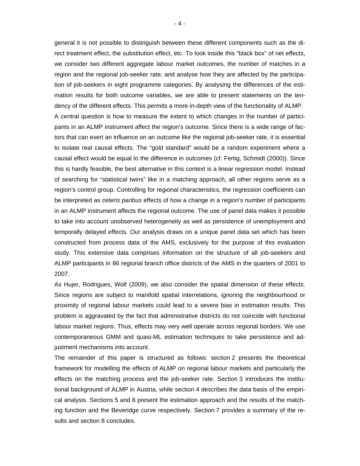general it is not possible to distinguish between these different components such as the direct treatment effect, the substitution effect, etc. To look inside this "black box" of net effects, we consider two different aggregate labour market outcomes, the number of matches in a region and the regional job-seeker rate, and analyse how they are affected by the participation of job-seekers in eight programme categories. By analysing the differences of the estimation results for both outcome variables, we are able to present statements on the tendency of the different effects. This permits a more in-depth view of the functionality of ALMP. A central question is how to measure the extent to which changes in the number of participants in an ALMP instrument affect the region's outcome. Since there is a wide range of factors that can exert an influence on an outcome like the regional job-seeker rate, it is essential to isolate real causal effects. The "gold standard" would be a random experiment where a causal effect would be equal to the difference in outcomes (cf. Fertig, Schmidt (2000)). Since this is hardly feasible, the best alternative in this context is a linear regression model. Instead of searching for "statistical twins" like in a matching approach, all other regions serve as a region's control group. Controlling for regional characteristics, the regression coefficients can be interpreted as *ceteris paribus* effects of how a change in a region's number of participants in an ALMP instrument affects the regional outcome. The use of panel data makes it possible to take into account unobserved heterogeneity as well as persistence of unemployment and temporally delayed effects. Our analysis draws on a unique panel data set which has been constructed from process data of the AMS, exclusively for the purpose of this evaluation study. This extensive data comprises information on the structure of all job-seekers and ALMP participants in 86 regional branch office districts of the AMS in the quarters of 2001 to 2007.

As Hujer, Rodrigues, Wolf (2009), we also consider the spatial dimension of these effects. Since regions are subject to manifold spatial interrelations, ignoring the neighbourhood or proximity of regional labour markets could lead to a severe bias in estimation results. This problem is aggravated by the fact that administrative districts do not coincide with functional labour market regions. Thus, effects may very well operate across regional borders. We use contemporaneous GMM and quasi-ML estimation techniques to take persistence and adjustment mechanisms into account.

The remainder of this paper is structured as follows: section 2 presents the theoretical framework for modelling the effects of ALMP on regional labour markets and particularly the effects on the matching process and the job-seeker rate. Section 3 introduces the institutional background of ALMP in Austria, while section 4 describes the data basis of the empirical analysis. Sections 5 and 6 present the estimation approach and the results of the matching function and the Beveridge curve respectively. Section 7 provides a summary of the results and section 8 concludes.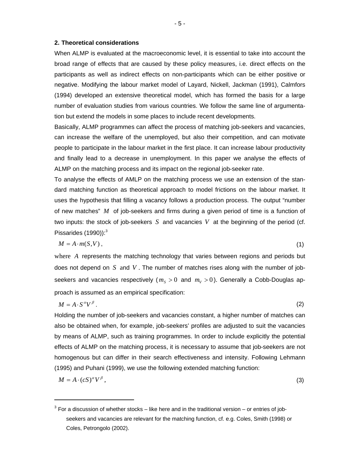#### **2. Theoretical considerations**

l

When ALMP is evaluated at the macroeconomic level, it is essential to take into account the broad range of effects that are caused by these policy measures, i.e. direct effects on the participants as well as indirect effects on non-participants which can be either positive or negative. Modifying the labour market model of Layard, Nickell, Jackman (1991), Calmfors (1994) developed an extensive theoretical model, which has formed the basis for a large number of evaluation studies from various countries. We follow the same line of argumentation but extend the models in some places to include recent developments.

Basically, ALMP programmes can affect the process of matching job-seekers and vacancies, can increase the welfare of the unemployed, but also their competition, and can motivate people to participate in the labour market in the first place. It can increase labour productivity and finally lead to a decrease in unemployment. In this paper we analyse the effects of ALMP on the matching process and its impact on the regional job-seeker rate.

To analyse the effects of AMLP on the matching process we use an extension of the standard matching function as theoretical approach to model frictions on the labour market. It uses the hypothesis that filling a vacancy follows a production process. The output "number of new matches" *M* of job-seekers and firms during a given period of time is a function of two inputs: the stock of job-seekers *S* and vacancies *V* at the beginning of the period (cf. Pissarides  $(1990)$ :<sup>3</sup>

$$
M = A \cdot m(S, V) \tag{1}
$$

where *A* represents the matching technology that varies between regions and periods but does not depend on *S* and *V* . The number of matches rises along with the number of jobseekers and vacancies respectively ( $m<sub>S</sub> > 0$  and  $m<sub>V</sub> > 0$ ). Generally a Cobb-Douglas approach is assumed as an empirical specification:

$$
M = A \cdot S^{\alpha} V^{\beta} \tag{2}
$$

Holding the number of job-seekers and vacancies constant, a higher number of matches can also be obtained when, for example, job-seekers' profiles are adjusted to suit the vacancies by means of ALMP, such as training programmes. In order to include explicitly the potential effects of ALMP on the matching process, it is necessary to assume that job-seekers are not homogenous but can differ in their search effectiveness and intensity. Following Lehmann (1995) and Puhani (1999), we use the following extended matching function:

$$
M = A \cdot (cS)^{\alpha} V^{\beta}, \tag{3}
$$

 $3$  For a discussion of whether stocks – like here and in the traditional version – or entries of jobseekers and vacancies are relevant for the matching function, cf. e.g. Coles, Smith (1998) or Coles, Petrongolo (2002).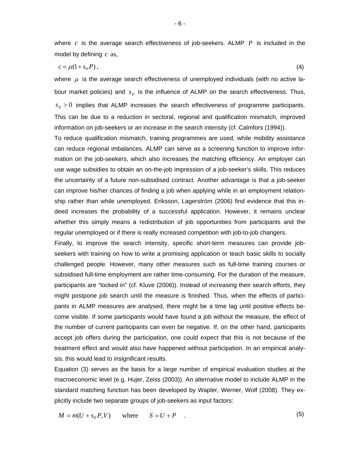where *c* is the average search effectiveness of job-seekers. ALMP *P* is included in the model by defining *c* as,

$$
c = \mu(1 + s_p P), \tag{4}
$$

where  $\mu$  is the average search effectiveness of unemployed individuals (with no active labour market policies) and  $s<sub>p</sub>$  is the influence of ALMP on the search effectiveness. Thus,  $s_{P} > 0$  implies that ALMP increases the search effectiveness of programme participants. This can be due to a reduction in sectoral, regional and qualification mismatch, improved information on job-seekers or an increase in the search intensity (cf. Calmfors (1994)).

To reduce qualification mismatch, training programmes are used, while mobility assistance can reduce regional imbalances. ALMP can serve as a screening function to improve information on the job-seekers, which also increases the matching efficiency. An employer can use wage subsidies to obtain an on-the-job impression of a job-seeker's skills. This reduces the uncertainty of a future non-subsidised contract. Another advantage is that a job-seeker can improve his/her chances of finding a job when applying while in an employment relationship rather than while unemployed. Eriksson, Lagerström (2006) find evidence that this indeed increases the probability of a successful application. However, it remains unclear whether this simply means a redistribution of job opportunities from participants and the regular unemployed or if there is really increased competition with job-to-job changers.

Finally, to improve the search intensity, specific short-term measures can provide jobseekers with training on how to write a promising application or teach basic skills to socially challenged people. However, many other measures such as full-time training courses or subsidised full-time employment are rather time-consuming. For the duration of the measure, participants are "locked in" (cf. Kluve (2006)). Instead of increasing their search efforts, they might postpone job search until the measure is finished. Thus, when the effects of participants in ALMP measures are analysed, there might be a time lag until positive effects become visible. If some participants would have found a job without the measure, the effect of the number of current participants can even be negative. If, on the other hand, participants accept job offers during the participation, one could expect that this is not because of the treatment effect and would also have happened without participation. In an empirical analysis, this would lead to insignificant results.

Equation (3) serves as the basis for a large number of empirical evaluation studies at the macroeconomic level (e.g. Hujer, Zeiss (2003)). An alternative model to include ALMP in the standard matching function has been developed by Wapler, Werner, Wolf (2008). They explicitly include two separate groups of job-seekers as input factors:

 $M = m(U + s_p P, V)$  where  $S = U + P$  . (5)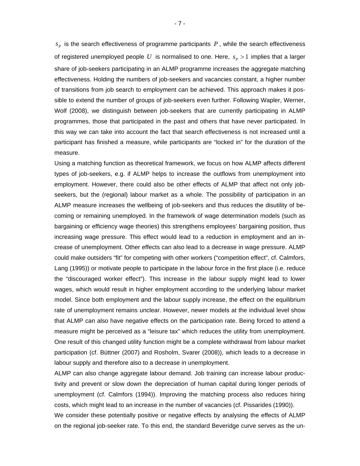$s<sub>p</sub>$  is the search effectiveness of programme participants *, while the search effectiveness* of registered unemployed people U is normalised to one. Here,  $s_p > 1$  implies that a larger share of job-seekers participating in an ALMP programme increases the aggregate matching effectiveness. Holding the numbers of job-seekers and vacancies constant, a higher number of transitions from job search to employment can be achieved. This approach makes it possible to extend the number of groups of job-seekers even further. Following Wapler, Werner, Wolf (2008), we distinguish between job-seekers that are currently participating in ALMP programmes, those that participated in the past and others that have never participated. In this way we can take into account the fact that search effectiveness is not increased until a participant has finished a measure, while participants are "locked in" for the duration of the measure.

Using a matching function as theoretical framework, we focus on how ALMP affects different types of job-seekers, e.g. if ALMP helps to increase the outflows from unemployment into employment. However, there could also be other effects of ALMP that affect not only jobseekers, but the (regional) labour market as a whole. The possibility of participation in an ALMP measure increases the wellbeing of job-seekers and thus reduces the disutility of becoming or remaining unemployed. In the framework of wage determination models (such as bargaining or efficiency wage theories) this strengthens employees' bargaining position, thus increasing wage pressure. This effect would lead to a reduction in employment and an increase of unemployment. Other effects can also lead to a decrease in wage pressure. ALMP could make outsiders "fit" for competing with other workers ("competition effect", cf. Calmfors, Lang (1995)) or motivate people to participate in the labour force in the first place (i.e. reduce the "discouraged worker effect"). This increase in the labour supply might lead to lower wages, which would result in higher employment according to the underlying labour market model. Since both employment and the labour supply increase, the effect on the equilibrium rate of unemployment remains unclear. However, newer models at the individual level show that ALMP can also have negative effects on the participation rate. Being forced to attend a measure might be perceived as a "leisure tax" which reduces the utility from unemployment. One result of this changed utility function might be a complete withdrawal from labour market participation (cf. Büttner (2007) and Rosholm, Svarer (2008)), which leads to a decrease in labour supply and therefore also to a decrease in unemployment.

ALMP can also change aggregate labour demand. Job training can increase labour productivity and prevent or slow down the depreciation of human capital during longer periods of unemployment (cf. Calmfors (1994)). Improving the matching process also reduces hiring costs, which might lead to an increase in the number of vacancies (cf. Pissarides (1990)).

We consider these potentially positive or negative effects by analysing the effects of ALMP on the regional job-seeker rate. To this end, the standard Beveridge curve serves as the un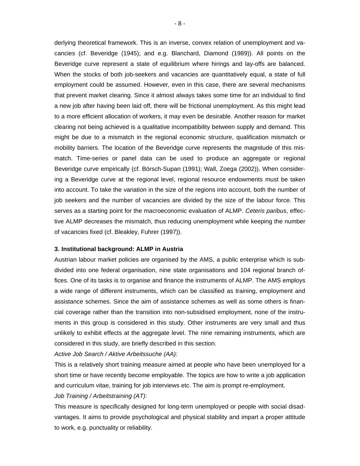derlying theoretical framework. This is an inverse, convex relation of unemployment and vacancies (cf. Beveridge (1945); and e.g. Blanchard, Diamond (1989)). All points on the Beveridge curve represent a state of equilibrium where hirings and lay-offs are balanced. When the stocks of both job-seekers and vacancies are quantitatively equal, a state of full employment could be assumed. However, even in this case, there are several mechanisms that prevent market clearing. Since it almost always takes some time for an individual to find a new job after having been laid off, there will be frictional unemployment. As this might lead to a more efficient allocation of workers, it may even be desirable. Another reason for market clearing not being achieved is a qualitative incompatibility between supply and demand. This might be due to a mismatch in the regional economic structure, qualification mismatch or mobility barriers. The location of the Beveridge curve represents the magnitude of this mismatch. Time-series or panel data can be used to produce an aggregate or regional Beveridge curve empirically (cf. Börsch-Supan (1991); Wall, Zoega (2002)). When considering a Beveridge curve at the regional level, regional resource endowments must be taken into account. To take the variation in the size of the regions into account, both the number of job seekers and the number of vacancies are divided by the size of the labour force. This serves as a starting point for the macroeconomic evaluation of ALMP. *Ceteris paribus*, effective ALMP decreases the mismatch, thus reducing unemployment while keeping the number of vacancies fixed (cf. Bleakley, Fuhrer (1997)).

#### **3. Institutional background: ALMP in Austria**

Austrian labour market policies are organised by the AMS, a public enterprise which is subdivided into one federal organisation, nine state organisations and 104 regional branch offices. One of its tasks is to organise and finance the instruments of ALMP. The AMS employs a wide range of different instruments, which can be classified as training, employment and assistance schemes. Since the aim of assistance schemes as well as some others is financial coverage rather than the transition into non-subsidised employment, none of the instruments in this group is considered in this study. Other instruments are very small and thus unlikely to exhibit effects at the aggregate level. The nine remaining instruments, which are considered in this study, are briefly described in this section.

*Active Job Search / Aktive Arbeitssuche (AA):* 

This is a relatively short training measure aimed at people who have been unemployed for a short time or have recently become employable. The topics are how to write a job application and curriculum vitae, training for job interviews etc. The aim is prompt re-employment. *Job Training / Arbeitstraining (AT):* 

This measure is specifically designed for long-term unemployed or people with social disadvantages. It aims to provide psychological and physical stability and impart a proper attitude to work, e.g. punctuality or reliability.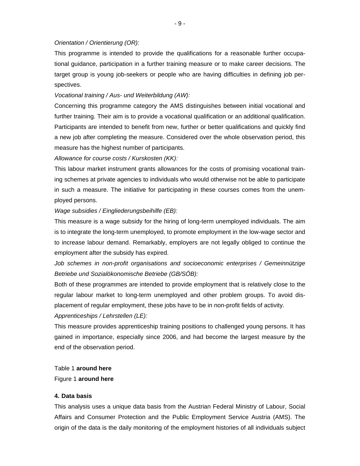#### *Orientation / Orientierung (OR):*

This programme is intended to provide the qualifications for a reasonable further occupational guidance, participation in a further training measure or to make career decisions. The target group is young job-seekers or people who are having difficulties in defining job perspectives.

#### *Vocational training / Aus- und Weiterbildung (AW):*

Concerning this programme category the AMS distinguishes between initial vocational and further training. Their aim is to provide a vocational qualification or an additional qualification. Participants are intended to benefit from new, further or better qualifications and quickly find a new job after completing the measure. Considered over the whole observation period, this measure has the highest number of participants.

#### *Allowance for course costs / Kurskosten (KK):*

This labour market instrument grants allowances for the costs of promising vocational training schemes at private agencies to individuals who would otherwise not be able to participate in such a measure. The initiative for participating in these courses comes from the unemployed persons.

#### *Wage subsidies / Eingliederungsbeihilfe (EB):*

This measure is a wage subsidy for the hiring of long-term unemployed individuals. The aim is to integrate the long-term unemployed, to promote employment in the low-wage sector and to increase labour demand. Remarkably, employers are not legally obliged to continue the employment after the subsidy has expired.

*Job schemes in non-profit organisations and socioeconomic enterprises / Gemeinnützige Betriebe und Sozialökonomische Betriebe (GB/SÖB):* 

Both of these programmes are intended to provide employment that is relatively close to the regular labour market to long-term unemployed and other problem groups. To avoid displacement of regular employment, these jobs have to be in non-profit fields of activity.

#### *Apprenticeships / Lehrstellen (LE):*

This measure provides apprenticeship training positions to challenged young persons. It has gained in importance, especially since 2006, and had become the largest measure by the end of the observation period.

#### Table 1 **around here**

#### Figure 1 **around here**

#### **4. Data basis**

This analysis uses a unique data basis from the Austrian Federal Ministry of Labour, Social Affairs and Consumer Protection and the Public Employment Service Austria (AMS). The origin of the data is the daily monitoring of the employment histories of all individuals subject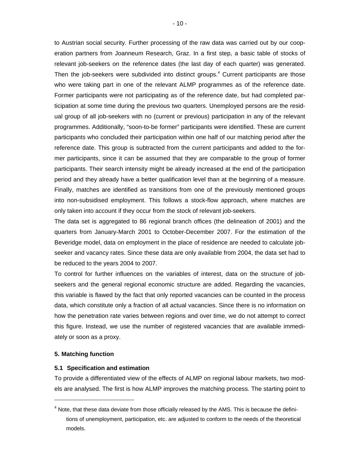to Austrian social security. Further processing of the raw data was carried out by our cooperation partners from Joanneum Research, Graz. In a first step, a basic table of stocks of relevant job-seekers on the reference dates (the last day of each quarter) was generated. Then the job-seekers were subdivided into distinct groups. $4$  Current participants are those who were taking part in one of the relevant ALMP programmes as of the reference date. Former participants were not participating as of the reference date, but had completed participation at some time during the previous two quarters. Unemployed persons are the residual group of all job-seekers with no (current or previous) participation in any of the relevant programmes. Additionally, "soon-to-be former" participants were identified. These are current participants who concluded their participation within one half of our matching period after the reference date. This group is subtracted from the current participants and added to the former participants, since it can be assumed that they are comparable to the group of former participants. Their search intensity might be already increased at the end of the participation period and they already have a better qualification level than at the beginning of a measure. Finally, matches are identified as transitions from one of the previously mentioned groups into non-subsidised employment. This follows a stock-flow approach, where matches are only taken into account if they occur from the stock of relevant job-seekers.

The data set is aggregated to 86 regional branch offices (the delineation of 2001) and the quarters from January-March 2001 to October-December 2007. For the estimation of the Beveridge model, data on employment in the place of residence are needed to calculate jobseeker and vacancy rates. Since these data are only available from 2004, the data set had to be reduced to the years 2004 to 2007.

To control for further influences on the variables of interest, data on the structure of jobseekers and the general regional economic structure are added. Regarding the vacancies, this variable is flawed by the fact that only reported vacancies can be counted in the process data, which constitute only a fraction of all actual vacancies. Since there is no information on how the penetration rate varies between regions and over time, we do not attempt to correct this figure. Instead, we use the number of registered vacancies that are available immediately or soon as a proxy.

#### **5. Matching function**

l

#### **5.1 Specification and estimation**

To provide a differentiated view of the effects of ALMP on regional labour markets, two models are analysed. The first is how ALMP improves the matching process. The starting point to

 $<sup>4</sup>$  Note, that these data deviate from those officially released by the AMS. This is because the defini-</sup> tions of unemployment, participation, etc. are adjusted to conform to the needs of the theoretical models.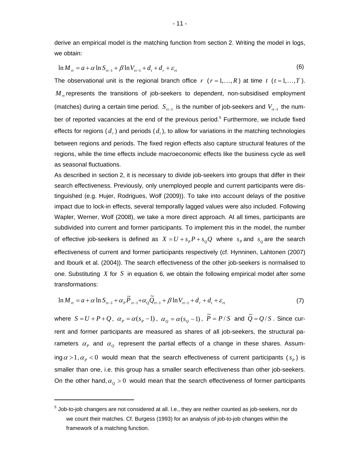derive an empirical model is the matching function from section 2. Writing the model in logs, we obtain:

$$
\ln M_{rt} = a + \alpha \ln S_{rt-1} + \beta \ln V_{rt-1} + d_t + d_r + \varepsilon_{rt}
$$
\n(6)

The observational unit is the regional branch office  $r$  ( $r = 1, ..., R$ ) at time  $t$  ( $t = 1, ..., T$ ).  $M<sub>rt</sub>$  represents the transitions of job-seekers to dependent, non-subsidised employment (matches) during a certain time period. *S<sub>rτ−1</sub>* is the number of job-seekers and *V<sub>r−1</sub>* the number of reported vacancies at the end of the previous period.<sup>5</sup> Furthermore, we include fixed effects for regions  $(d_r)$  and periods  $(d_r)$ , to allow for variations in the matching technologies between regions and periods. The fixed region effects also capture structural features of the regions, while the time effects include macroeconomic effects like the business cycle as well as seasonal fluctuations.

As described in section 2, it is necessary to divide job-seekers into groups that differ in their search effectiveness. Previously, only unemployed people and current participants were distinguished (e.g. Hujer, Rodrigues, Wolf (2009)). To take into account delays of the positive impact due to lock-in effects, several temporally lagged values were also included. Following Wapler, Werner, Wolf (2008), we take a more direct approach. At all times, participants are subdivided into current and former participants. To implement this in the model, the number of effective job-seekers is defined as  $X = U + s_p P + s_o Q$  where  $s_p$  and  $s_o$  are the search effectiveness of current and former participants respectively (cf. Hynninen, Lahtonen (2007) and Ibourk et al. (2004)). The search effectiveness of the other job-seekers is normalised to one. Substituting *X* for *S* in equation 6, we obtain the following empirical model after some transformations:

$$
\ln M_{n} = a + \alpha \ln S_{n-1} + \alpha_{p} \tilde{P}_{n-1} + \alpha_{q} \tilde{Q}_{n-1} + \beta \ln V_{n-1} + d_{r} + d_{t} + \varepsilon_{n}
$$
\n(7)

where  $S = U + P + Q$ ,  $\alpha_p = \alpha(s_p - 1)$ ,  $\alpha_q = \alpha(s_q - 1)$ ,  $\tilde{P} = P/S$  and  $\tilde{Q} = Q/S$ . Since current and former participants are measured as shares of all job-seekers, the structural parameters  $\alpha_{p}$  and  $\alpha_{o}$  represent the partial effects of a change in these shares. Assuming  $\alpha > 1$ ,  $\alpha_p < 0$  would mean that the search effectiveness of current participants ( $s_p$ ) is smaller than one, i.e. this group has a smaller search effectiveness than other job-seekers. On the other hand,  $\alpha_{\varrho} > 0$  would mean that the search effectiveness of former participants

l

 $^5$  Job-to-job changers are not considered at all. I.e., they are neither counted as job-seekers, nor do we count their matches. Cf. Burgess (1993) for an analysis of job-to-job changes within the framework of a matching function.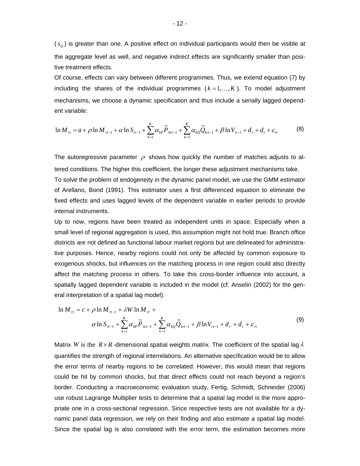$(s<sub>o</sub>)$  is greater than one. A positive effect on individual participants would then be visible at the aggregate level as well, and negative indirect effects are significantly smaller than positive treatment effects.

Of course, effects can vary between different programmes. Thus, we extend equation (7) by including the shares of the individual programmes  $(k = 1, \ldots, K)$ . To model adjustment mechanisms, we choose a dynamic specification and thus include a serially lagged dependent variable:

$$
\ln M_{rt} = a + \rho \ln M_{rt-1} + \alpha \ln S_{rt-1} + \sum_{k=1}^{K} \alpha_{k} \widetilde{P}_{krt-1} + \sum_{k=1}^{K} \alpha_{k} \widetilde{Q}_{krt-1} + \beta \ln V_{rt-1} + d_r + d_t + \varepsilon_{rt}
$$
(8)

The autoregressive parameter  $\rho$  shows how quickly the number of matches adjusts to altered conditions. The higher this coefficient, the longer these adjustment mechanisms take. To solve the problem of endogeneity in the dynamic panel model, we use the GMM estimator of Arellano, Bond (1991). This estimator uses a first differenced equation to eliminate the fixed effects and uses lagged levels of the dependent variable in earlier periods to provide internal instruments.

Up to now, regions have been treated as independent units in space. Especially when a small level of regional aggregation is used, this assumption might not hold true. Branch office districts are not defined as functional labour market regions but are delineated for administrative purposes. Hence, nearby regions could not only be affected by common exposure to exogenous shocks, but influences on the matching process in one region could also directly affect the matching process in others. To take this cross-border influence into account, a spatially lagged dependent variable is included in the model (cf. Anselin (2002) for the general interpretation of a spatial lag model):

$$
\ln M_{n} = c + \rho \ln M_{n-1} + \lambda W \ln M_{n} + \alpha \ln S_{n-1} + \sum_{k=1}^{K} \alpha_{k} \tilde{P}_{k+1} + \sum_{k=1}^{K} \alpha_{k} \tilde{Q}_{k+1} + \beta \ln V_{n-1} + d_{n} + d_{n} + \varepsilon_{n}
$$
\n(9)

Matrix *W* is the  $R \times R$  -dimensional spatial weights matrix. The coefficient of the spatial lag  $\lambda$ quantifies the strength of regional interrelations. An alternative specification would be to allow the error terms of nearby regions to be correlated. However, this would mean that regions could be hit by common shocks, but that direct effects could not reach beyond a region's border. Conducting a macroeconomic evaluation study, Fertig, Schmidt, Schneider (2006) use robust Lagrange Multiplier tests to determine that a spatial lag model is the more appropriate one in a cross-sectional regression. Since respective tests are not available for a dynamic panel data regression, we rely on their finding and also estimate a spatial lag model. Since the spatial lag is also correlated with the error term, the estimation becomes more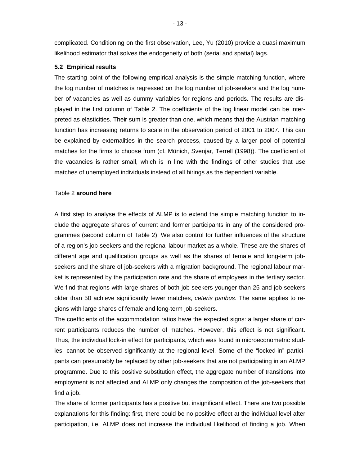complicated. Conditioning on the first observation, Lee, Yu (2010) provide a quasi maximum likelihood estimator that solves the endogeneity of both (serial and spatial) lags.

#### **5.2 Empirical results**

The starting point of the following empirical analysis is the simple matching function, where the log number of matches is regressed on the log number of job-seekers and the log number of vacancies as well as dummy variables for regions and periods. The results are displayed in the first column of Table 2. The coefficients of the log linear model can be interpreted as elasticities. Their sum is greater than one, which means that the Austrian matching function has increasing returns to scale in the observation period of 2001 to 2007. This can be explained by externalities in the search process, caused by a larger pool of potential matches for the firms to choose from (cf. Münich, Svenjar, Terrell (1998)). The coefficient of the vacancies is rather small, which is in line with the findings of other studies that use matches of unemployed individuals instead of all hirings as the dependent variable.

#### Table 2 **around here**

A first step to analyse the effects of ALMP is to extend the simple matching function to include the aggregate shares of current and former participants in any of the considered programmes (second column of Table 2). We also control for further influences of the structure of a region's job-seekers and the regional labour market as a whole. These are the shares of different age and qualification groups as well as the shares of female and long-term jobseekers and the share of job-seekers with a migration background. The regional labour market is represented by the participation rate and the share of employees in the tertiary sector. We find that regions with large shares of both job-seekers younger than 25 and job-seekers older than 50 achieve significantly fewer matches, *ceteris paribus*. The same applies to regions with large shares of female and long-term job-seekers.

The coefficients of the accommodation ratios have the expected signs: a larger share of current participants reduces the number of matches. However, this effect is not significant. Thus, the individual lock-in effect for participants, which was found in microeconometric studies, cannot be observed significantly at the regional level. Some of the "locked-in" participants can presumably be replaced by other job-seekers that are not participating in an ALMP programme. Due to this positive substitution effect, the aggregate number of transitions into employment is not affected and ALMP only changes the composition of the job-seekers that find a job.

The share of former participants has a positive but insignificant effect. There are two possible explanations for this finding: first, there could be no positive effect at the individual level after participation, i.e. ALMP does not increase the individual likelihood of finding a job. When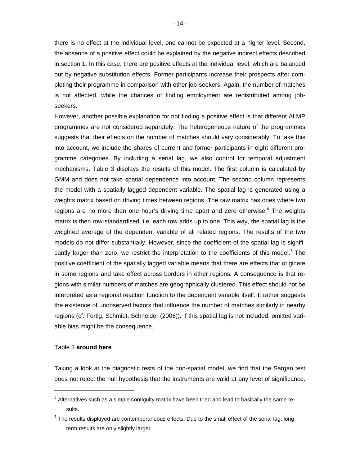there is no effect at the individual level, one cannot be expected at a higher level. Second, the absence of a positive effect could be explained by the negative indirect effects described in section 1. In this case, there are positive effects at the individual level, which are balanced out by negative substitution effects. Former participants increase their prospects after completing their programme in comparison with other job-seekers. Again, the number of matches is not affected, while the chances of finding employment are redistributed among jobseekers.

However, another possible explanation for not finding a positive effect is that different ALMP programmes are not considered separately. The heterogeneous nature of the programmes suggests that their effects on the number of matches should vary considerably. To take this into account, we include the shares of current and former participants in eight different programme categories. By including a serial lag, we also control for temporal adjustment mechanisms. Table 3 displays the results of this model. The first column is calculated by GMM and does not take spatial dependence into account. The second column represents the model with a spatially lagged dependent variable. The spatial lag is generated using a weights matrix based on driving times between regions. The raw matrix has ones where two regions are no more than one hour's driving time apart and zero otherwise.<sup>6</sup> The weights matrix is then row-standardised, i.e. each row adds up to one. This way, the spatial lag is the weighted average of the dependent variable of all related regions. The results of the two models do not differ substantially. However, since the coefficient of the spatial lag is significantly larger than zero, we restrict the interpretation to the coefficients of this model.<sup>7</sup> The positive coefficient of the spatially lagged variable means that there are effects that originate in some regions and take effect across borders in other regions. A consequence is that regions with similar numbers of matches are geographically clustered. This effect should not be interpreted as a regional reaction function to the dependent variable itself. It rather suggests the existence of unobserved factors that influence the number of matches similarly in nearby regions (cf. Fertig, Schmidt, Schneider (2006)). If this spatial lag is not included, omitted variable bias might be the consequence.

#### Table 3 **around here**

 $\overline{a}$ 

Taking a look at the diagnostic tests of the non-spatial model, we find that the Sargan test does not reject the null hypothesis that the instruments are valid at any level of significance.

 $^6$  Alternatives such as a simple contiguity matrix have been tried and lead to basically the same results.

 $^7$  The results displayed are contemporaneous effects. Due to the small effect of the serial lag, longterm results are only slightly larger.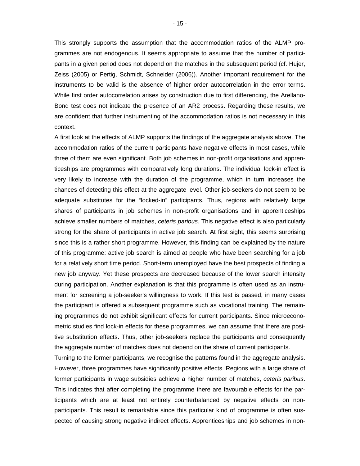This strongly supports the assumption that the accommodation ratios of the ALMP programmes are not endogenous. It seems appropriate to assume that the number of participants in a given period does not depend on the matches in the subsequent period (cf. Hujer, Zeiss (2005) or Fertig, Schmidt, Schneider (2006)). Another important requirement for the instruments to be valid is the absence of higher order autocorrelation in the error terms. While first order autocorrelation arises by construction due to first differencing, the Arellano-Bond test does not indicate the presence of an AR2 process. Regarding these results, we are confident that further instrumenting of the accommodation ratios is not necessary in this context.

A first look at the effects of ALMP supports the findings of the aggregate analysis above. The accommodation ratios of the current participants have negative effects in most cases, while three of them are even significant. Both job schemes in non-profit organisations and apprenticeships are programmes with comparatively long durations. The individual lock-in effect is very likely to increase with the duration of the programme, which in turn increases the chances of detecting this effect at the aggregate level. Other job-seekers do not seem to be adequate substitutes for the "locked-in" participants. Thus, regions with relatively large shares of participants in job schemes in non-profit organisations and in apprenticeships achieve smaller numbers of matches, *ceteris paribus*. This negative effect is also particularly strong for the share of participants in active job search. At first sight, this seems surprising since this is a rather short programme. However, this finding can be explained by the nature of this programme: active job search is aimed at people who have been searching for a job for a relatively short time period. Short-term unemployed have the best prospects of finding a new job anyway. Yet these prospects are decreased because of the lower search intensity during participation. Another explanation is that this programme is often used as an instrument for screening a job-seeker's willingness to work. If this test is passed, in many cases the participant is offered a subsequent programme such as vocational training. The remaining programmes do not exhibit significant effects for current participants. Since microeconometric studies find lock-in effects for these programmes, we can assume that there are positive substitution effects. Thus, other job-seekers replace the participants and consequently the aggregate number of matches does not depend on the share of current participants.

Turning to the former participants, we recognise the patterns found in the aggregate analysis. However, three programmes have significantly positive effects. Regions with a large share of former participants in wage subsidies achieve a higher number of matches, *ceteris paribus*. This indicates that after completing the programme there are favourable effects for the participants which are at least not entirely counterbalanced by negative effects on nonparticipants. This result is remarkable since this particular kind of programme is often suspected of causing strong negative indirect effects. Apprenticeships and job schemes in non-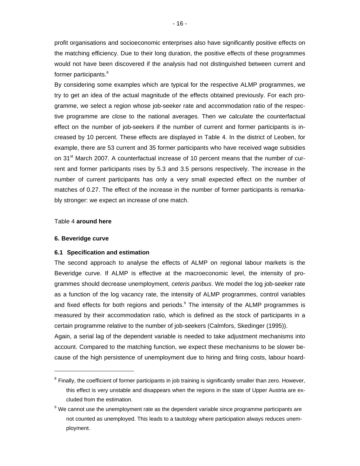profit organisations and socioeconomic enterprises also have significantly positive effects on the matching efficiency. Due to their long duration, the positive effects of these programmes would not have been discovered if the analysis had not distinguished between current and former participants.<sup>8</sup>

By considering some examples which are typical for the respective ALMP programmes, we try to get an idea of the actual magnitude of the effects obtained previously. For each programme, we select a region whose job-seeker rate and accommodation ratio of the respective programme are close to the national averages. Then we calculate the counterfactual effect on the number of job-seekers if the number of current and former participants is increased by 10 percent. These effects are displayed in Table 4. In the district of Leoben, for example, there are 53 current and 35 former participants who have received wage subsidies on 31<sup>st</sup> March 2007. A counterfactual increase of 10 percent means that the number of current and former participants rises by 5.3 and 3.5 persons respectively. The increase in the number of current participants has only a very small expected effect on the number of matches of 0.27. The effect of the increase in the number of former participants is remarkably stronger: we expect an increase of one match.

#### Table 4 **around here**

#### **6. Beveridge curve**

l

#### **6.1 Specification and estimation**

The second approach to analyse the effects of ALMP on regional labour markets is the Beveridge curve. If ALMP is effective at the macroeconomic level, the intensity of programmes should decrease unemployment, *ceteris paribus*. We model the log job-seeker rate as a function of the log vacancy rate, the intensity of ALMP programmes, control variables and fixed effects for both regions and periods.<sup>9</sup> The intensity of the ALMP programmes is measured by their accommodation ratio, which is defined as the stock of participants in a certain programme relative to the number of job-seekers (Calmfors, Skedinger (1995)).

Again, a serial lag of the dependent variable is needed to take adjustment mechanisms into account. Compared to the matching function, we expect these mechanisms to be slower because of the high persistence of unemployment due to hiring and firing costs, labour hoard-

<sup>&</sup>lt;sup>8</sup> Finally, the coefficient of former participants in job training is significantly smaller than zero. However, this effect is very unstable and disappears when the regions in the state of Upper Austria are excluded from the estimation.

 $9$  We cannot use the unemployment rate as the dependent variable since programme participants are not counted as unemployed. This leads to a tautology where participation always reduces unemployment.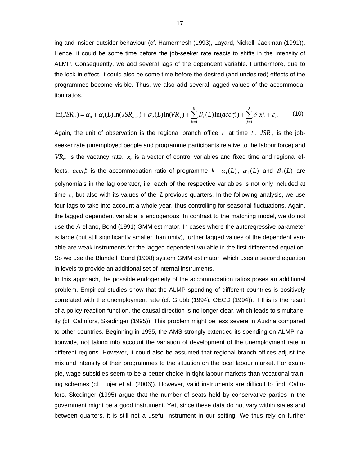ing and insider-outsider behaviour (cf. Hamermesh (1993), Layard, Nickell, Jackman (1991)). Hence, it could be some time before the job-seeker rate reacts to shifts in the intensity of ALMP. Consequently, we add several lags of the dependent variable. Furthermore, due to the lock-in effect, it could also be some time before the desired (and undesired) effects of the programmes become visible. Thus, we also add several lagged values of the accommodation ratios.

$$
\ln(JSR_{rt}) = \alpha_0 + \alpha_1(L)\ln(JSR_{rt-1}) + \alpha_2(L)\ln(VR_{rt}) + \sum_{k=1}^{8} \beta_k(L)\ln(accr_{rt}^k) + \sum_{j=1}^{J} \delta_j x_{rt}^j + \varepsilon_{rt}
$$
 (10)

Again, the unit of observation is the regional branch office r at time t.  $JSR<sub>rt</sub>$  is the jobseeker rate (unemployed people and programme participants relative to the labour force) and  $VR_{rt}$  is the vacancy rate.  $x<sub>t</sub>$  is a vector of control variables and fixed time and regional effects.  $accr_n^k$  is the accommodation ratio of programme  $k$ .  $\alpha_1(L)$ ,  $\alpha_2(L)$  and  $\beta_j(L)$  are polynomials in the lag operator, i.e. each of the respective variables is not only included at time *t* , but also with its values of the *L* previous quarters. In the following analysis, we use four lags to take into account a whole year, thus controlling for seasonal fluctuations. Again, the lagged dependent variable is endogenous. In contrast to the matching model, we do not use the Arellano, Bond (1991) GMM estimator. In cases where the autoregressive parameter is large (but still significantly smaller than unity), further lagged values of the dependent variable are weak instruments for the lagged dependent variable in the first differenced equation. So we use the Blundell, Bond (1998) system GMM estimator, which uses a second equation in levels to provide an additional set of internal instruments.

In this approach, the possible endogeneity of the accommodation ratios poses an additional problem. Empirical studies show that the ALMP spending of different countries is positively correlated with the unemployment rate (cf. Grubb (1994), OECD (1994)). If this is the result of a policy reaction function, the causal direction is no longer clear, which leads to simultaneity (cf. Calmfors, Skedinger (1995)). This problem might be less severe in Austria compared to other countries. Beginning in 1995, the AMS strongly extended its spending on ALMP nationwide, not taking into account the variation of development of the unemployment rate in different regions. However, it could also be assumed that regional branch offices adjust the mix and intensity of their programmes to the situation on the local labour market. For example, wage subsidies seem to be a better choice in tight labour markets than vocational training schemes (cf. Hujer et al. (2006)). However, valid instruments are difficult to find. Calmfors, Skedinger (1995) argue that the number of seats held by conservative parties in the government might be a good instrument. Yet, since these data do not vary within states and between quarters, it is still not a useful instrument in our setting. We thus rely on further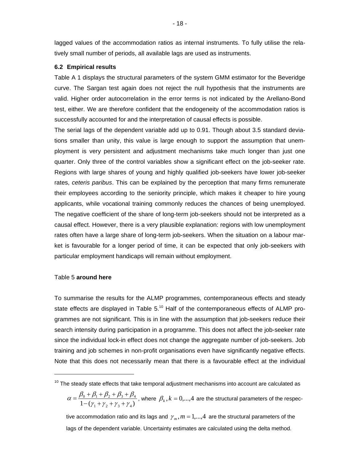lagged values of the accommodation ratios as internal instruments. To fully utilise the relatively small number of periods, all available lags are used as instruments.

#### **6.2 Empirical results**

Table A 1 displays the structural parameters of the system GMM estimator for the Beveridge curve. The Sargan test again does not reject the null hypothesis that the instruments are valid. Higher order autocorrelation in the error terms is not indicated by the Arellano-Bond test, either. We are therefore confident that the endogeneity of the accommodation ratios is successfully accounted for and the interpretation of causal effects is possible.

The serial lags of the dependent variable add up to 0.91. Though about 3.5 standard deviations smaller than unity, this value is large enough to support the assumption that unemployment is very persistent and adjustment mechanisms take much longer than just one quarter. Only three of the control variables show a significant effect on the job-seeker rate. Regions with large shares of young and highly qualified job-seekers have lower job-seeker rates, *ceteris paribus*. This can be explained by the perception that many firms remunerate their employees according to the seniority principle, which makes it cheaper to hire young applicants, while vocational training commonly reduces the chances of being unemployed. The negative coefficient of the share of long-term job-seekers should not be interpreted as a causal effect. However, there is a very plausible explanation: regions with low unemployment rates often have a large share of long-term job-seekers. When the situation on a labour market is favourable for a longer period of time, it can be expected that only job-seekers with particular employment handicaps will remain without employment.

#### Table 5 **around here**

l

To summarise the results for the ALMP programmes, contemporaneous effects and steady state effects are displayed in Table  $5<sup>10</sup>$  Half of the contemporaneous effects of ALMP programmes are not significant. This is in line with the assumption that job-seekers reduce their search intensity during participation in a programme. This does not affect the job-seeker rate since the individual lock-in effect does not change the aggregate number of job-seekers. Job training and job schemes in non-profit organisations even have significantly negative effects. Note that this does not necessarily mean that there is a favourable effect at the individual

$$
\alpha = \frac{\beta_0 + \beta_1 + \beta_2 + \beta_3 + \beta_4}{1 - (\gamma_1 + \gamma_2 + \gamma_3 + \gamma_4)},
$$
 where  $\beta_k, k = 0,...,4$  are the structural parameters of the respective

tive accommodation ratio and its lags and  $\gamma_m$ ,  $m = 1,...,4$  are the structural parameters of the lags of the dependent variable. Uncertainty estimates are calculated using the delta method.

 $10$  The steady state effects that take temporal adjustment mechanisms into account are calculated as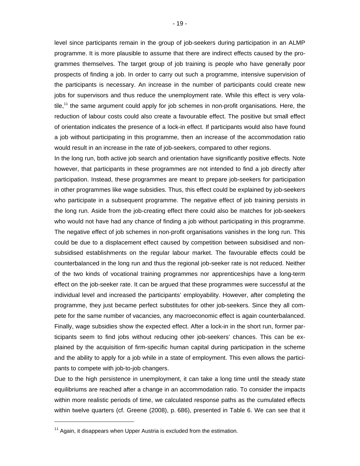level since participants remain in the group of job-seekers during participation in an ALMP programme. It is more plausible to assume that there are indirect effects caused by the programmes themselves. The target group of job training is people who have generally poor prospects of finding a job. In order to carry out such a programme, intensive supervision of the participants is necessary. An increase in the number of participants could create new jobs for supervisors and thus reduce the unemployment rate. While this effect is very vola $tile$ ,<sup>11</sup> the same argument could apply for job schemes in non-profit organisations. Here, the reduction of labour costs could also create a favourable effect. The positive but small effect of orientation indicates the presence of a lock-in effect. If participants would also have found a job without participating in this programme, then an increase of the accommodation ratio would result in an increase in the rate of job-seekers, compared to other regions.

In the long run, both active job search and orientation have significantly positive effects. Note however, that participants in these programmes are not intended to find a job directly after participation. Instead, these programmes are meant to prepare job-seekers for participation in other programmes like wage subsidies. Thus, this effect could be explained by job-seekers who participate in a subsequent programme. The negative effect of job training persists in the long run. Aside from the job-creating effect there could also be matches for job-seekers who would not have had any chance of finding a job without participating in this programme. The negative effect of job schemes in non-profit organisations vanishes in the long run. This could be due to a displacement effect caused by competition between subsidised and nonsubsidised establishments on the regular labour market. The favourable effects could be counterbalanced in the long run and thus the regional job-seeker rate is not reduced. Neither of the two kinds of vocational training programmes nor apprenticeships have a long-term effect on the job-seeker rate. It can be argued that these programmes were successful at the individual level and increased the participants' employability. However, after completing the programme, they just became perfect substitutes for other job-seekers. Since they all compete for the same number of vacancies, any macroeconomic effect is again counterbalanced. Finally, wage subsidies show the expected effect. After a lock-in in the short run, former participants seem to find jobs without reducing other job-seekers' chances. This can be explained by the acquisition of firm-specific human capital during participation in the scheme and the ability to apply for a job while in a state of employment. This even allows the participants to compete with job-to-job changers.

Due to the high persistence in unemployment, it can take a long time until the steady state equilibriums are reached after a change in an accommodation ratio. To consider the impacts within more realistic periods of time, we calculated response paths as the cumulated effects within twelve quarters (cf. Greene (2008), p. 686), presented in Table 6. We can see that it

 $\overline{a}$ 

 $11$  Again, it disappears when Upper Austria is excluded from the estimation.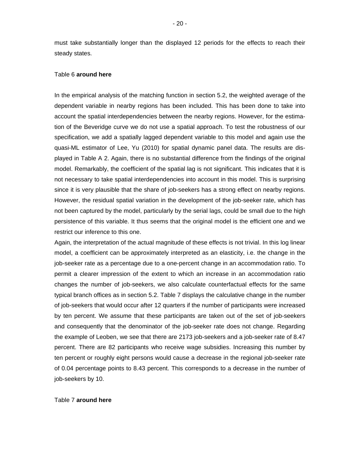must take substantially longer than the displayed 12 periods for the effects to reach their steady states.

#### Table 6 **around here**

In the empirical analysis of the matching function in section 5.2, the weighted average of the dependent variable in nearby regions has been included. This has been done to take into account the spatial interdependencies between the nearby regions. However, for the estimation of the Beveridge curve we do not use a spatial approach. To test the robustness of our specification, we add a spatially lagged dependent variable to this model and again use the quasi-ML estimator of Lee, Yu (2010) for spatial dynamic panel data. The results are displayed in Table A 2. Again, there is no substantial difference from the findings of the original model. Remarkably, the coefficient of the spatial lag is not significant. This indicates that it is not necessary to take spatial interdependencies into account in this model. This is surprising since it is very plausible that the share of job-seekers has a strong effect on nearby regions. However, the residual spatial variation in the development of the job-seeker rate, which has not been captured by the model, particularly by the serial lags, could be small due to the high persistence of this variable. It thus seems that the original model is the efficient one and we restrict our inference to this one.

Again, the interpretation of the actual magnitude of these effects is not trivial. In this log linear model, a coefficient can be approximately interpreted as an elasticity, i.e. the change in the job-seeker rate as a percentage due to a one-percent change in an accommodation ratio. To permit a clearer impression of the extent to which an increase in an accommodation ratio changes the number of job-seekers, we also calculate counterfactual effects for the same typical branch offices as in section 5.2. Table 7 displays the calculative change in the number of job-seekers that would occur after 12 quarters if the number of participants were increased by ten percent. We assume that these participants are taken out of the set of job-seekers and consequently that the denominator of the job-seeker rate does not change. Regarding the example of Leoben, we see that there are 2173 job-seekers and a job-seeker rate of 8.47 percent. There are 82 participants who receive wage subsidies. Increasing this number by ten percent or roughly eight persons would cause a decrease in the regional job-seeker rate of 0.04 percentage points to 8.43 percent. This corresponds to a decrease in the number of job-seekers by 10.

#### Table 7 **around here**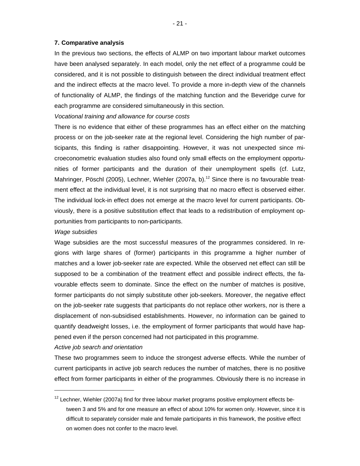#### **7. Comparative analysis**

In the previous two sections, the effects of ALMP on two important labour market outcomes have been analysed separately. In each model, only the net effect of a programme could be considered, and it is not possible to distinguish between the direct individual treatment effect and the indirect effects at the macro level. To provide a more in-depth view of the channels of functionality of ALMP, the findings of the matching function and the Beveridge curve for each programme are considered simultaneously in this section.

#### *Vocational training and allowance for course costs*

There is no evidence that either of these programmes has an effect either on the matching process or on the job-seeker rate at the regional level. Considering the high number of participants, this finding is rather disappointing. However, it was not unexpected since microeconometric evaluation studies also found only small effects on the employment opportunities of former participants and the duration of their unemployment spells (cf. Lutz, Mahringer, Pöschl (2005), Lechner, Wiehler (2007a, b).<sup>12</sup> Since there is no favourable treatment effect at the individual level, it is not surprising that no macro effect is observed either. The individual lock-in effect does not emerge at the macro level for current participants. Obviously, there is a positive substitution effect that leads to a redistribution of employment opportunities from participants to non-participants.

#### *Wage subsidies*

Wage subsidies are the most successful measures of the programmes considered. In regions with large shares of (former) participants in this programme a higher number of matches and a lower job-seeker rate are expected. While the observed net effect can still be supposed to be a combination of the treatment effect and possible indirect effects, the favourable effects seem to dominate. Since the effect on the number of matches is positive, former participants do not simply substitute other job-seekers. Moreover, the negative effect on the job-seeker rate suggests that participants do not replace other workers, nor is there a displacement of non-subsidised establishments. However, no information can be gained to quantify deadweight losses, i.e. the employment of former participants that would have happened even if the person concerned had not participated in this programme.

#### *Active job search and orientation*

 $\overline{a}$ 

These two programmes seem to induce the strongest adverse effects. While the number of current participants in active job search reduces the number of matches, there is no positive effect from former participants in either of the programmes. Obviously there is no increase in

 $12$  Lechner, Wiehler (2007a) find for three labour market programs positive employment effects between 3 and 5% and for one measure an effect of about 10% for women only. However, since it is difficult to separately consider male and female participants in this framework, the positive effect on women does not confer to the macro level.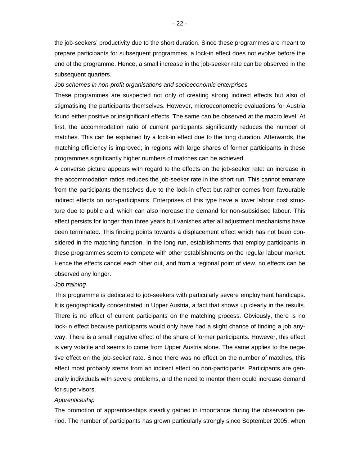the job-seekers' productivity due to the short duration. Since these programmes are meant to prepare participants for subsequent programmes, a lock-in effect does not evolve before the end of the programme. Hence, a small increase in the job-seeker rate can be observed in the subsequent quarters.

#### *Job schemes in non-profit organisations and socioeconomic enterprises*

These programmes are suspected not only of creating strong indirect effects but also of stigmatising the participants themselves. However, microeconometric evaluations for Austria found either positive or insignificant effects. The same can be observed at the macro level. At first, the accommodation ratio of current participants significantly reduces the number of matches. This can be explained by a lock-in effect due to the long duration. Afterwards, the matching efficiency is improved; in regions with large shares of former participants in these programmes significantly higher numbers of matches can be achieved.

A converse picture appears with regard to the effects on the job-seeker rate: an increase in the accommodation ratios reduces the job-seeker rate in the short run. This cannot emanate from the participants themselves due to the lock-in effect but rather comes from favourable indirect effects on non-participants. Enterprises of this type have a lower labour cost structure due to public aid, which can also increase the demand for non-subsidised labour. This effect persists for longer than three years but vanishes after all adjustment mechanisms have been terminated. This finding points towards a displacement effect which has not been considered in the matching function. In the long run, establishments that employ participants in these programmes seem to compete with other establishments on the regular labour market. Hence the effects cancel each other out, and from a regional point of view, no effects can be observed any longer.

#### *Job training*

This programme is dedicated to job-seekers with particularly severe employment handicaps. It is geographically concentrated in Upper Austria, a fact that shows up clearly in the results. There is no effect of current participants on the matching process. Obviously, there is no lock-in effect because participants would only have had a slight chance of finding a job anyway. There is a small negative effect of the share of former participants. However, this effect is very volatile and seems to come from Upper Austria alone. The same applies to the negative effect on the job-seeker rate. Since there was no effect on the number of matches, this effect most probably stems from an indirect effect on non-participants. Participants are generally individuals with severe problems, and the need to mentor them could increase demand for supervisors.

#### *Apprenticeship*

The promotion of apprenticeships steadily gained in importance during the observation period. The number of participants has grown particularly strongly since September 2005, when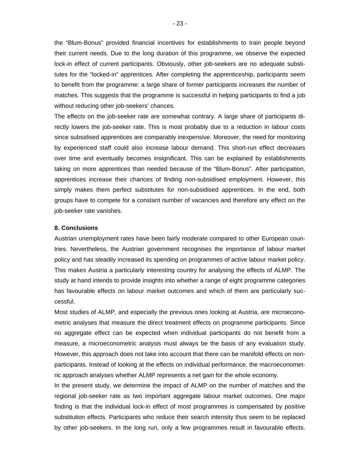the "Blum-Bonus" provided financial incentives for establishments to train people beyond their current needs. Due to the long duration of this programme, we observe the expected lock-in effect of current participants. Obviously, other job-seekers are no adequate substitutes for the "locked-in" apprentices. After completing the apprenticeship, participants seem to benefit from the programme: a large share of former participants increases the number of matches. This suggests that the programme is successful in helping participants to find a job without reducing other job-seekers' chances.

The effects on the job-seeker rate are somewhat contrary. A large share of participants directly lowers the job-seeker rate. This is most probably due to a reduction in labour costs since subsidised apprentices are comparably inexpensive. Moreover, the need for monitoring by experienced staff could also increase labour demand. This short-run effect decreases over time and eventually becomes insignificant. This can be explained by establishments taking on more apprentices than needed because of the "Blum-Bonus". After participation, apprentices increase their chances of finding non-subsidised employment. However, this simply makes them perfect substitutes for non-subsidised apprentices. In the end, both groups have to compete for a constant number of vacancies and therefore any effect on the job-seeker rate vanishes.

#### **8. Conclusions**

Austrian unemployment rates have been fairly moderate compared to other European countries. Nevertheless, the Austrian government recognises the importance of labour market policy and has steadily increased its spending on programmes of active labour market policy. This makes Austria a particularly interesting country for analysing the effects of ALMP. The study at hand intends to provide insights into whether a range of eight programme categories has favourable effects on labour market outcomes and which of them are particularly successful.

Most studies of ALMP, and especially the previous ones looking at Austria, are microeconometric analyses that measure the direct treatment effects on programme participants. Since no aggregate effect can be expected when individual participants do not benefit from a measure, a microeconometric analysis must always be the basis of any evaluation study. However, this approach does not take into account that there can be manifold effects on nonparticipants. Instead of looking at the effects on individual performance, the macroeconometric approach analyses whether ALMP represents a net gain for the whole economy.

In the present study, we determine the impact of ALMP on the number of matches and the regional job-seeker rate as two important aggregate labour market outcomes. One major finding is that the individual lock-in effect of most programmes is compensated by positive substitution effects. Participants who reduce their search intensity thus seem to be replaced by other job-seekers. In the long run, only a few programmes result in favourable effects.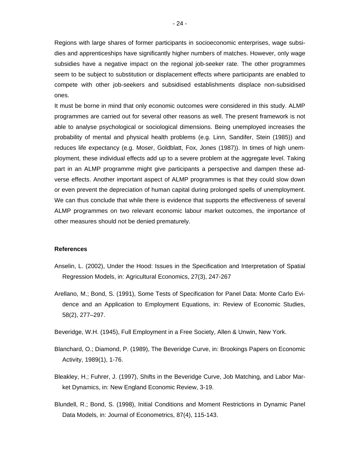Regions with large shares of former participants in socioeconomic enterprises, wage subsidies and apprenticeships have significantly higher numbers of matches. However, only wage subsidies have a negative impact on the regional job-seeker rate. The other programmes seem to be subject to substitution or displacement effects where participants are enabled to compete with other job-seekers and subsidised establishments displace non-subsidised ones.

It must be borne in mind that only economic outcomes were considered in this study. ALMP programmes are carried out for several other reasons as well. The present framework is not able to analyse psychological or sociological dimensions. Being unemployed increases the probability of mental and physical health problems (e.g. Linn, Sandifer, Stein (1985)) and reduces life expectancy (e.g. Moser, Goldblatt, Fox, Jones (1987)). In times of high unemployment, these individual effects add up to a severe problem at the aggregate level. Taking part in an ALMP programme might give participants a perspective and dampen these adverse effects. Another important aspect of ALMP programmes is that they could slow down or even prevent the depreciation of human capital during prolonged spells of unemployment. We can thus conclude that while there is evidence that supports the effectiveness of several ALMP programmes on two relevant economic labour market outcomes, the importance of other measures should not be denied prematurely.

#### **References**

- Anselin, L. (2002), Under the Hood: Issues in the Specification and Interpretation of Spatial Regression Models, in: Agricultural Economics, 27(3), 247-267
- Arellano, M.; Bond, S. (1991), Some Tests of Specification for Panel Data: Monte Carlo Evidence and an Application to Employment Equations, in: Review of Economic Studies, 58(2), 277–297.
- Beveridge, W.H. (1945), Full Employment in a Free Society, Allen & Unwin, New York.
- Blanchard, O.; Diamond, P. (1989), The Beveridge Curve, in: Brookings Papers on Economic Activity, 1989(1), 1-76.
- Bleakley, H.; Fuhrer, J. (1997), Shifts in the Beveridge Curve, Job Matching, and Labor Market Dynamics, in: New England Economic Review, 3-19.
- Blundell, R.; Bond, S. (1998), Initial Conditions and Moment Restrictions in Dynamic Panel Data Models, in: Journal of Econometrics, 87(4), 115-143.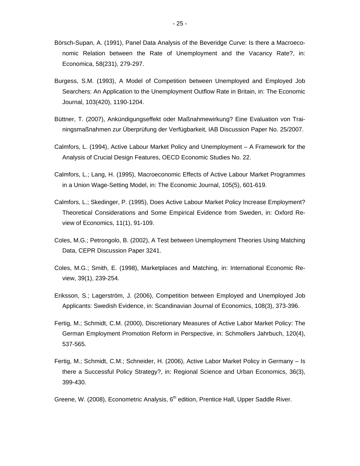- Börsch-Supan, A. (1991), Panel Data Analysis of the Beveridge Curve: Is there a Macroeconomic Relation between the Rate of Unemployment and the Vacancy Rate?, in: Economica, 58(231), 279-297.
- Burgess, S.M. (1993), A Model of Competition between Unemployed and Employed Job Searchers: An Application to the Unemployment Outflow Rate in Britain, in: The Economic Journal, 103(420), 1190-1204.
- Büttner, T. (2007), Ankündigungseffekt oder Maßnahmewirkung? Eine Evaluation von Trainingsmaßnahmen zur Überprüfung der Verfügbarkeit, IAB Discussion Paper No. 25/2007.
- Calmfors, L. (1994), Active Labour Market Policy and Unemployment A Framework for the Analysis of Crucial Design Features, OECD Economic Studies No. 22.
- Calmfors, L.; Lang, H. (1995), Macroeconomic Effects of Active Labour Market Programmes in a Union Wage-Setting Model, in: The Economic Journal, 105(5), 601-619.
- Calmfors, L.; Skedinger, P. (1995), Does Active Labour Market Policy Increase Employment? Theoretical Considerations and Some Empirical Evidence from Sweden, in: Oxford Review of Economics, 11(1), 91-109.
- Coles, M.G.; Petrongolo, B. (2002), A Test between Unemployment Theories Using Matching Data, CEPR Discussion Paper 3241.
- Coles, M.G.; Smith, E. (1998), Marketplaces and Matching, in: International Economic Review, 39(1), 239-254.
- Eriksson, S.; Lagerström, J. (2006), Competition between Employed and Unemployed Job Applicants: Swedish Evidence, in: Scandinavian Journal of Economics, 108(3), 373-396.
- Fertig, M.; Schmidt, C.M. (2000), Discretionary Measures of Active Labor Market Policy: The German Employment Promotion Reform in Perspective, in: Schmollers Jahrbuch, 120(4), 537-565.
- Fertig, M.; Schmidt, C.M.; Schneider, H. (2006), Active Labor Market Policy in Germany Is there a Successful Policy Strategy?, in: Regional Science and Urban Economics, 36(3), 399-430.
- Greene, W. (2008), Econometric Analysis,  $6<sup>th</sup>$  edition, Prentice Hall, Upper Saddle River.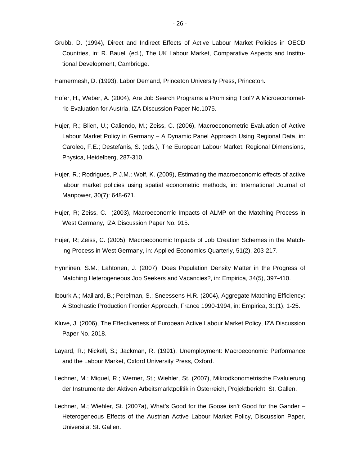- Grubb, D. (1994), Direct and Indirect Effects of Active Labour Market Policies in OECD Countries, in: R. Bauell (ed.), The UK Labour Market, Comparative Aspects and Institutional Development, Cambridge.
- Hamermesh, D. (1993), Labor Demand, Princeton University Press, Princeton.
- Hofer, H., Weber, A. (2004), Are Job Search Programs a Promising Tool? A Microeconometric Evaluation for Austria, IZA Discussion Paper No.1075.
- Hujer, R.; Blien, U.; Caliendo, M.; Zeiss, C. (2006), Macroeconometric Evaluation of Active Labour Market Policy in Germany – A Dynamic Panel Approach Using Regional Data, in: Caroleo, F.E.; Destefanis, S. (eds.), The European Labour Market. Regional Dimensions, Physica, Heidelberg, 287-310.
- Hujer, R.; Rodrigues, P.J.M.; Wolf, K. (2009), Estimating the macroeconomic effects of active labour market policies using spatial econometric methods, in: International Journal of Manpower, 30(7): 648-671.
- Hujer, R; Zeiss, C. (2003), Macroeconomic Impacts of ALMP on the Matching Process in West Germany, IZA Discussion Paper No. 915.
- Hujer, R; Zeiss, C. (2005), Macroeconomic Impacts of Job Creation Schemes in the Matching Process in West Germany, in: Applied Economics Quarterly, 51(2), 203-217.
- Hynninen, S.M.; Lahtonen, J. (2007), Does Population Density Matter in the Progress of Matching Heterogeneous Job Seekers and Vacancies?, in: Empirica, 34(5), 397-410.
- Ibourk A.; Maillard, B.; Perelman, S.; Sneessens H.R. (2004), Aggregate Matching Efficiency: A Stochastic Production Frontier Approach, France 1990-1994, in: Empirica, 31(1), 1-25.
- Kluve, J. (2006), The Effectiveness of European Active Labour Market Policy, IZA Discussion Paper No. 2018.
- Layard, R.; Nickell, S.; Jackman, R. (1991), Unemployment: Macroeconomic Performance and the Labour Market, Oxford University Press, Oxford.
- Lechner, M.; Miquel, R.; Werner, St.; Wiehler, St. (2007), Mikroökonometrische Evaluierung der Instrumente der Aktiven Arbeitsmarktpolitik in Österreich, Projektbericht, St. Gallen.
- Lechner, M.; Wiehler, St. (2007a), What's Good for the Goose isn't Good for the Gander Heterogeneous Effects of the Austrian Active Labour Market Policy, Discussion Paper, Universität St. Gallen.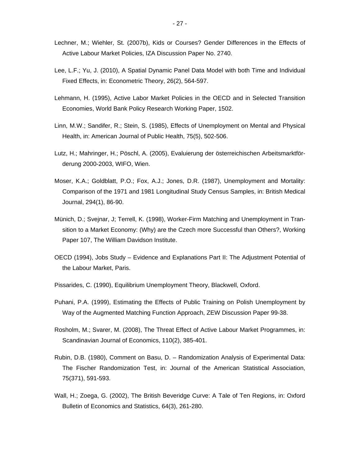- Lechner, M.; Wiehler, St. (2007b), Kids or Courses? Gender Differences in the Effects of Active Labour Market Policies, IZA Discussion Paper No. 2740.
- Lee, L.F.; Yu, J. (2010), A Spatial Dynamic Panel Data Model with both Time and Individual Fixed Effects, in: Econometric Theory, 26(2), 564-597.
- Lehmann, H. (1995), Active Labor Market Policies in the OECD and in Selected Transition Economies, World Bank Policy Research Working Paper, 1502.
- Linn, M.W.; Sandifer, R.; Stein, S. (1985), Effects of Unemployment on Mental and Physical Health, in: American Journal of Public Health, 75(5), 502-506.
- Lutz, H.; Mahringer, H.; Pöschl, A. (2005), Evaluierung der österreichischen Arbeitsmarktförderung 2000-2003, WIFO, Wien.
- Moser, K.A.; Goldblatt, P.O.; Fox, A.J.; Jones, D.R. (1987), Unemployment and Mortality: Comparison of the 1971 and 1981 Longitudinal Study Census Samples, in: British Medical Journal, 294(1), 86-90.
- Münich, D.; Svejnar, J; Terrell, K. (1998), Worker-Firm Matching and Unemployment in Transition to a Market Economy: (Why) are the Czech more Successful than Others?, Working Paper 107, The William Davidson Institute.
- OECD (1994), Jobs Study Evidence and Explanations Part II: The Adjustment Potential of the Labour Market, Paris.
- Pissarides, C. (1990), Equilibrium Unemployment Theory, Blackwell, Oxford.
- Puhani, P.A. (1999), Estimating the Effects of Public Training on Polish Unemployment by Way of the Augmented Matching Function Approach, ZEW Discussion Paper 99-38.
- Rosholm, M.; Svarer, M. (2008), The Threat Effect of Active Labour Market Programmes, in: Scandinavian Journal of Economics, 110(2), 385-401.
- Rubin, D.B. (1980), Comment on Basu, D. Randomization Analysis of Experimental Data: The Fischer Randomization Test, in: Journal of the American Statistical Association, 75(371), 591-593.
- Wall, H.; Zoega, G. (2002), The British Beveridge Curve: A Tale of Ten Regions, in: Oxford Bulletin of Economics and Statistics, 64(3), 261-280.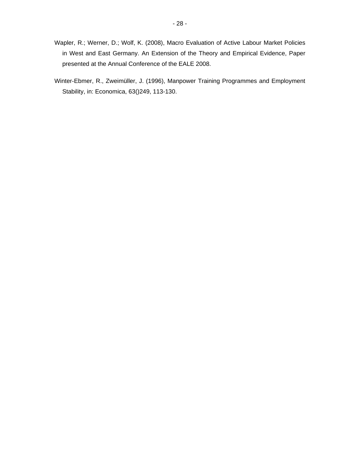- Wapler, R.; Werner, D.; Wolf, K. (2008), Macro Evaluation of Active Labour Market Policies in West and East Germany. An Extension of the Theory and Empirical Evidence, Paper presented at the Annual Conference of the EALE 2008.
- Winter-Ebmer, R., Zweimüller, J. (1996), Manpower Training Programmes and Employment Stability, in: Economica, 63()249, 113-130.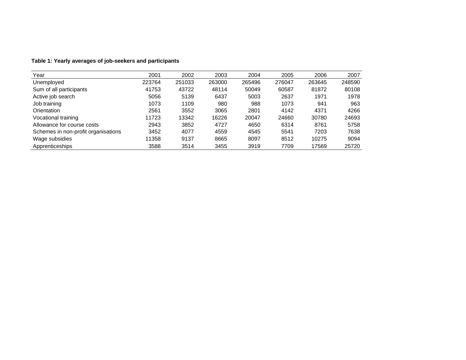| Year                                | 2001   | 2002   | 2003   | 2004   | 2005   | 2006   | 2007   |
|-------------------------------------|--------|--------|--------|--------|--------|--------|--------|
| Unemployed                          | 223764 | 251033 | 263000 | 265496 | 276047 | 263645 | 248590 |
| Sum of all participants             | 41753  | 43722  | 48114  | 50049  | 60587  | 81872  | 80108  |
| Active job search                   | 5056   | 5139   | 6437   | 5003   | 2637   | 1971   | 1978   |
| Job training                        | 1073   | 1109   | 980    | 988    | 1073   | 941    | 963    |
| Orientation                         | 2561   | 3552   | 3065   | 2801   | 4142   | 4371   | 4266   |
| Vocational training                 | 11723  | 13342  | 16226  | 20047  | 24660  | 30780  | 24693  |
| Allowance for course costs          | 2943   | 3852   | 4727   | 4650   | 6314   | 8761   | 5758   |
| Schemes in non-profit organisations | 3452   | 4077   | 4559   | 4545   | 5541   | 7203   | 7638   |
| Wage subsidies                      | 11358  | 9137   | 8665   | 8097   | 8512   | 10275  | 9094   |
| Apprenticeships                     | 3588   | 3514   | 3455   | 3919   | 7709   | 17569  | 25720  |

## **Table 1: Yearly averages of job-seekers and participants**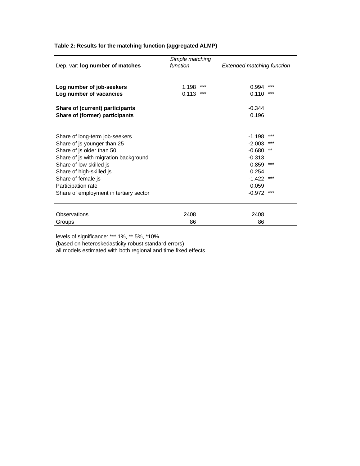| Dep. var: log number of matches        | Simple matching<br>function | <b>Extended matching function</b> |  |  |
|----------------------------------------|-----------------------------|-----------------------------------|--|--|
| Log number of job-seekers              | $***$<br>1.198              | $***$<br>0.994                    |  |  |
| Log number of vacancies                | 0.113<br>***                | $***$<br>0.110                    |  |  |
| <b>Share of (current) participants</b> |                             | $-0.344$                          |  |  |
| Share of (former) participants         |                             | 0.196                             |  |  |
|                                        |                             |                                   |  |  |
| Share of long-term job-seekers         |                             | ***<br>$-1.198$                   |  |  |
| Share of js younger than 25            |                             | ***<br>$-2.003$                   |  |  |
| Share of js older than 50              |                             | $***$<br>$-0.680$                 |  |  |
| Share of js with migration background  |                             | $-0.313$                          |  |  |
| Share of low-skilled js                |                             | ***<br>0.859                      |  |  |
| Share of high-skilled js               |                             | 0.254                             |  |  |
| Share of female js                     |                             | $***$<br>$-1.422$                 |  |  |
| Participation rate                     |                             | 0.059                             |  |  |
| Share of employment in tertiary sector |                             | $***$<br>$-0.972$                 |  |  |
|                                        |                             |                                   |  |  |
| <b>Observations</b>                    | 2408                        | 2408                              |  |  |
| Groups                                 | 86                          | 86                                |  |  |

### **Table 2: Results for the matching function (aggregated ALMP)**

levels of significance: \*\*\* 1%, \*\* 5%, \*10%

(based on heteroskedasticity robust standard errors)

all models estimated with both regional and time fixed effects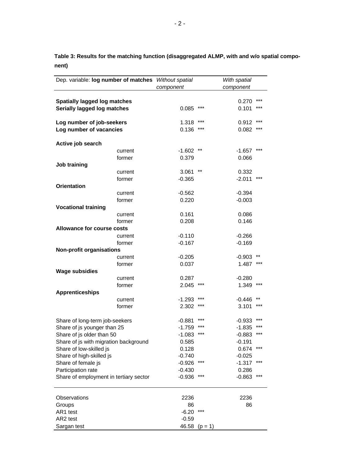**Table 3: Results for the matching function (disaggregated ALMP, with and w/o spatial component)** 

| Dep. variable: log number of matches Without spatial |           |                 | With spatial |            |
|------------------------------------------------------|-----------|-----------------|--------------|------------|
|                                                      | component |                 | component    |            |
|                                                      |           |                 |              |            |
| <b>Spatially lagged log matches</b>                  |           |                 | 0.270        | ***<br>*** |
| Serially lagged log matches                          | 0.085     | ***             | 0.101        |            |
| Log number of job-seekers                            | 1.318     | ***             | 0.912        | ***        |
| Log number of vacancies                              | 0.136     | ***             | 0.082        | ***        |
|                                                      |           |                 |              |            |
| Active job search                                    |           |                 |              |            |
| current                                              | $-1.602$  | $^{\star\star}$ | $-1.657$     | ***        |
| former                                               | 0.379     |                 | 0.066        |            |
| Job training                                         |           |                 |              |            |
| current                                              | 3.061     | $^{\star\star}$ | 0.332        |            |
| former                                               | $-0.365$  |                 | $-2.011$     | ***        |
| <b>Orientation</b>                                   |           |                 |              |            |
| current                                              | $-0.562$  |                 | $-0.394$     |            |
| former                                               | 0.220     |                 | $-0.003$     |            |
| <b>Vocational training</b>                           |           |                 |              |            |
| current                                              | 0.161     |                 | 0.086        |            |
| former                                               | 0.208     |                 | 0.146        |            |
| <b>Allowance for course costs</b>                    |           |                 |              |            |
| current                                              | $-0.110$  |                 | $-0.266$     |            |
| former                                               | $-0.167$  |                 | $-0.169$     |            |
| <b>Non-profit organisations</b>                      |           |                 |              |            |
| current                                              | $-0.205$  |                 | $-0.903$     | ***        |
| former<br><b>Wage subsidies</b>                      | 0.037     |                 | 1.487        |            |
| current                                              | 0.287     |                 | $-0.280$     |            |
| former                                               | 2.045     |                 | 1.349        | ***        |
| <b>Apprenticeships</b>                               |           |                 |              |            |
| current                                              | $-1.293$  |                 | $-0.446$     |            |
| former                                               | 2.302     | ***             | 3.101        | ***        |
|                                                      |           |                 |              |            |
| Share of long-term job-seekers                       | $-0.881$  | ***             | $-0.933$     | ***        |
| Share of js younger than 25                          | $-1.759$  | ***             | $-1.835$     |            |
| Share of js older than 50                            | $-1.083$  | ***             | $-0.883$     | ***        |
| Share of js with migration background                | 0.585     |                 | $-0.191$     |            |
| Share of low-skilled js                              | 0.128     |                 | 0.674        | ***        |
| Share of high-skilled js                             | $-0.740$  |                 | $-0.025$     |            |
| Share of female js                                   | $-0.926$  | ***             | -1.317       | ***        |
| Participation rate                                   | $-0.430$  |                 | 0.286        |            |
| Share of employment in tertiary sector               | $-0.936$  | ***             | $-0.863$     | ***        |
| Observations                                         | 2236      |                 | 2236         |            |
| Groups                                               | 86        |                 | 86           |            |
| AR1 test                                             | $-6.20$   | ***             |              |            |
| AR2 test                                             | $-0.59$   |                 |              |            |
| Sargan test                                          | 46.58     | $(p = 1)$       |              |            |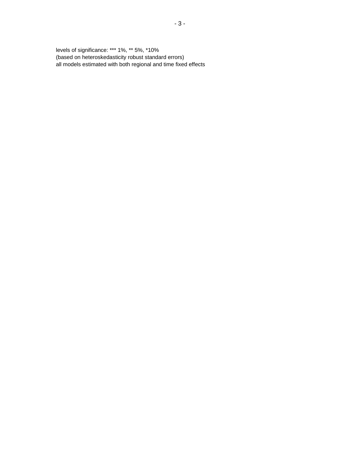levels of significance: \*\*\* 1%, \*\* 5%, \*10% (based on heteroskedasticity robust standard errors) all models estimated with both regional and time fixed effects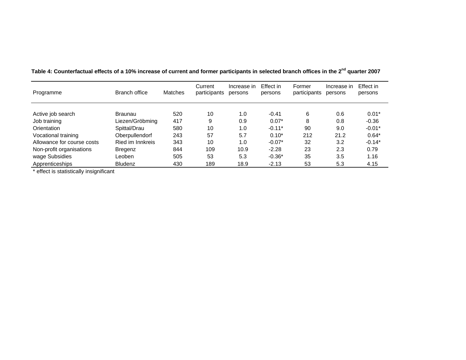| Programme                  | Branch office    | Matches | Current<br>participants | Increase in<br>persons | Effect in<br>persons | Former<br>participants | Increase in<br>persons | Effect in<br>persons |
|----------------------------|------------------|---------|-------------------------|------------------------|----------------------|------------------------|------------------------|----------------------|
| Active job search          | <b>Braunau</b>   | 520     | 10                      | 1.0                    | $-0.41$              | 6                      | 0.6                    | $0.01*$              |
| Job training               | Liezen/Gröbming  | 417     | 9                       | 0.9                    | $0.07*$              | 8                      | 0.8                    | $-0.36$              |
| Orientation                | Spittal/Drau     | 580     | 10                      | 1.0                    | $-0.11*$             | 90                     | 9.0                    | $-0.01*$             |
| Vocational training        | Oberpullendorf   | 243     | 57                      | 5.7                    | $0.10*$              | 212                    | 21.2                   | $0.64*$              |
| Allowance for course costs | Ried im Innkreis | 343     | 10                      | 1.0                    | $-0.07*$             | 32                     | 3.2                    | $-0.14*$             |
| Non-profit organisations   | Bregenz          | 844     | 109                     | 10.9                   | $-2.28$              | 23                     | 2.3                    | 0.79                 |
| wage Subsidies             | Leoben           | 505     | 53                      | 5.3                    | $-0.36*$             | 35                     | 3.5                    | 1.16                 |
| Apprenticeships            | <b>Bludenz</b>   | 430     | 189                     | 18.9                   | $-2.13$              | 53                     | 5.3                    | 4.15                 |

**Table 4: Counterfactual effects of a 10% increase of current and former participants in selected branch offices in the 2nd quarter 2007** 

\* effect is statistically insignificant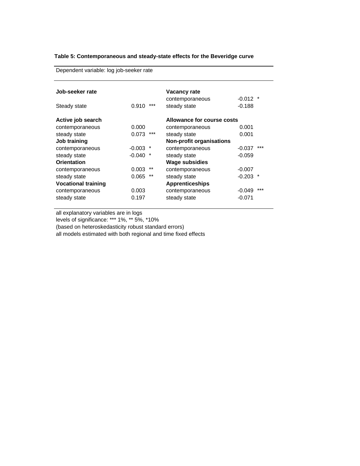#### **Table 5: Contemporaneous and steady-state effects for the Beveridge curve**

Dependent variable: log job-seeker rate

| Job-seeker rate            |                | <b>Vacancy rate</b>             |                     |
|----------------------------|----------------|---------------------------------|---------------------|
|                            |                | contemporaneous                 | $-0.012$ *          |
| Steady state               | $***$<br>0.910 | steady state                    | $-0.188$            |
| Active job search          |                | Allowance for course costs      |                     |
| contemporaneous            | 0.000          | contemporaneous                 | 0.001               |
| steady state               | $***$<br>0.073 | steady state                    | 0.001               |
| Job training               |                | <b>Non-profit organisations</b> |                     |
| contemporaneous            | -0.003         | contemporaneous                 | ***<br>$-0.037$     |
| steady state               | $-0.040$<br>*  | steady state                    | $-0.059$            |
| <b>Orientation</b>         |                | <b>Wage subsidies</b>           |                     |
| contemporaneous            | **<br>0.003    | contemporaneous                 | $-0.007$            |
| steady state               | $* *$<br>0.065 | steady state                    | $-0.203$<br>$\star$ |
| <b>Vocational training</b> |                | <b>Apprenticeships</b>          |                     |
| contemporaneous            | 0.003          | contemporaneous                 | $***$<br>$-0.049$   |
| steady state               | 0.197          | steady state                    | $-0.071$            |
|                            |                |                                 |                     |

all explanatory variables are in logs

levels of significance: \*\*\* 1%, \*\* 5%, \*10%

(based on heteroskedasticity robust standard errors)

all models estimated with both regional and time fixed effects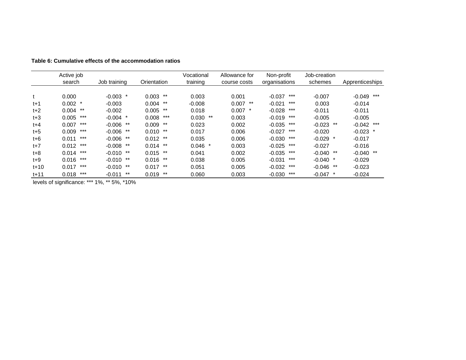|          | Active job     |                   |                | Vocational  | Allowance for | Non-profit        | Job-creation        |                 |
|----------|----------------|-------------------|----------------|-------------|---------------|-------------------|---------------------|-----------------|
|          | search         | Job training      | Orientation    | training    | course costs  | organisations     | schemes             | Apprenticeships |
| t        | 0.000          | $-0.003$          | $***$<br>0.003 | 0.003       | 0.001         | ***<br>$-0.037$   | $-0.007$            | ***<br>$-0.049$ |
| $t+1$    | $0.002$ *      | $-0.003$          | $0.004$ **     | $-0.008$    | $0.007$ **    | ***<br>$-0.021$   | 0.003               | $-0.014$        |
| $t+2$    | $0.004$ **     | $-0.002$          | $***$<br>0.005 | 0.018       | $0.007$ *     | ***<br>$-0.028$   | $-0.011$            | $-0.011$        |
| $t + 3$  | $***$<br>0.005 | $-0.004$ *        | ***<br>0.008   | 0.030<br>** | 0.003         | ***<br>$-0.019$   | $-0.005$            | $-0.005$        |
| $t + 4$  | $***$<br>0.007 | $-0.006$ **       | 0.009<br>$***$ | 0.023       | 0.002         | ***<br>$-0.035$   | $-0.023$<br>**      | $-0.042$ ***    |
| $t + 5$  | $***$<br>0.009 | $-0.006$ **       | $0.010$ **     | 0.017       | 0.006         | ***<br>$-0.027$   | $-0.020$            | $-0.023$ *      |
| $t + 6$  | $***$<br>0.011 | $-0.006$ **       | $0.012$ **     | 0.035       | 0.006         | $***$<br>$-0.030$ | $-0.029$<br>$\star$ | $-0.017$        |
| $t+7$    | $***$<br>0.012 | $-0.008$ **       | $0.014$ **     | $0.046$ *   | 0.003         | ***<br>$-0.025$   | $-0.027$            | $-0.016$        |
| $t + 8$  | ***<br>0.014   | $-0.010$ **       | $0.015$ **     | 0.041       | 0.002         | ***<br>$-0.035$   | $-0.040$<br>**      | $-0.040$ **     |
| $t+9$    | ***<br>0.016   | $-0.010$ **       | $0.016$ **     | 0.038       | 0.005         | $***$<br>$-0.031$ | $-0.040$ *          | $-0.029$        |
| $t + 10$ | ***<br>0.017   | $-0.010$ **       | $0.017$ **     | 0.051       | 0.005         | ***<br>$-0.032$   | $-0.046$<br>**      | $-0.023$        |
| $t + 11$ | $***$<br>0.018 | $***$<br>$-0.011$ | $***$<br>0.019 | 0.060       | 0.003         | $***$<br>$-0.030$ | $-0.047$            | $-0.024$        |

**Table 6: Cumulative effects of the accommodation ratios** 

levels of significance: \*\*\* 1%, \*\* 5%, \*10%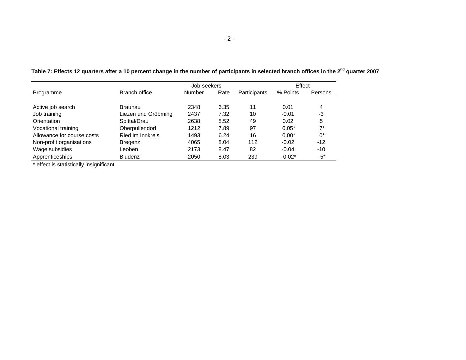|                            |                     | Job-seekers |      |              | Effect   |         |  |
|----------------------------|---------------------|-------------|------|--------------|----------|---------|--|
| Programme                  | Branch office       | Number      | Rate | Participants | % Points | Persons |  |
|                            |                     |             |      |              |          |         |  |
| Active job search          | Braunau             | 2348        | 6.35 | 11           | 0.01     | 4       |  |
| Job training               | Liezen und Gröbming | 2437        | 7.32 | 10           | $-0.01$  | -3      |  |
| Orientation                | Spittal/Drau        | 2638        | 8.52 | 49           | 0.02     | 5       |  |
| Vocational training        | Oberpullendorf      | 1212        | 7.89 | 97           | $0.05*$  | $7*$    |  |
| Allowance for course costs | Ried im Innkreis    | 1493        | 6.24 | 16           | $0.00*$  | 0*      |  |
| Non-profit organisations   | Bregenz             | 4065        | 8.04 | 112          | $-0.02$  | $-12$   |  |
| Wage subsidies             | Leoben              | 2173        | 8.47 | 82           | $-0.04$  | $-10$   |  |
| Apprenticeships            | <b>Bludenz</b>      | 2050        | 8.03 | 239          | $-0.02*$ | -5*     |  |

**Table 7: Effects 12 quarters after a 10 percent change in the number of participants in selected branch offices in the 2nd quarter 2007** 

\* effect is statistically insignificant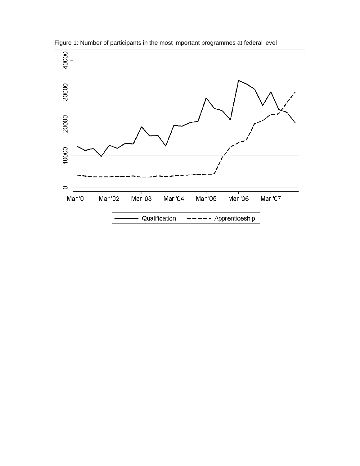

Figure 1: Number of participants in the most important programmes at federal level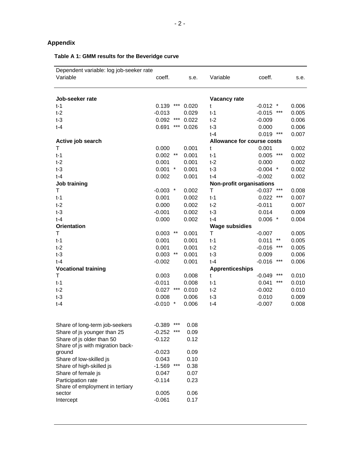## **Appendix**

### **Table A 1: GMM results for the Beveridge curve**

| Dependent variable: log job-seeker rate |              |     |       |                                 |             |       |       |
|-----------------------------------------|--------------|-----|-------|---------------------------------|-------------|-------|-------|
| Variable                                | coeff.       |     | s.e.  | Variable                        | coeff.      |       | s.e.  |
|                                         |              |     |       |                                 |             |       |       |
| Job-seeker rate                         |              |     |       | Vacancy rate                    |             |       |       |
| $t-1$                                   | 0.139        | *** | 0.020 | t                               | $-0.012$ *  |       | 0.006 |
| $t-2$                                   | $-0.013$     |     | 0.029 | $t-1$                           | $-0.015$    | $***$ | 0.005 |
| $t-3$                                   | 0.092        | *** | 0.022 | $t-2$                           | $-0.009$    |       | 0.006 |
| $t-4$                                   | 0.691        | *** | 0.026 | $t-3$                           | 0.000       |       | 0.006 |
|                                         |              |     |       | $t-4$                           | $0.019$ *** |       | 0.007 |
| Active job search                       |              |     |       | Allowance for course costs      |             |       |       |
| т                                       | 0.000        |     | 0.001 | t                               | 0.001       |       | 0.002 |
|                                         | $0.002$ **   |     | 0.001 |                                 | 0.005       | ***   | 0.002 |
| $t-1$<br>$t-2$                          | 0.001        |     |       | $t-1$                           |             |       | 0.002 |
|                                         |              |     | 0.001 | $t-2$                           | 0.000       |       |       |
| $t-3$                                   | $0.001$ *    |     | 0.001 | $t-3$                           | $-0.004$ *  |       | 0.002 |
| $t-4$                                   | 0.002        |     | 0.001 | $t-4$                           | $-0.002$    |       | 0.002 |
| Job training                            |              |     |       | <b>Non-profit organisations</b> |             |       |       |
| т                                       | $-0.003$ *   |     | 0.002 | Τ                               | $-0.037$    |       | 0.008 |
| $t-1$                                   | 0.001        |     | 0.002 | $t-1$                           | 0.022       | ***   | 0.007 |
| $t-2$                                   | 0.000        |     | 0.002 | $t-2$                           | $-0.011$    |       | 0.007 |
| $t-3$                                   | $-0.001$     |     | 0.002 | $t-3$                           | 0.014       |       | 0.009 |
| $t-4$                                   | 0.000        |     | 0.002 | $t-4$                           | $0.006$ *   |       | 0.004 |
| <b>Orientation</b>                      |              |     |       | <b>Wage subsidies</b>           |             |       |       |
| T                                       | $0.003$ **   |     | 0.001 | T                               | $-0.007$    |       | 0.005 |
| $t-1$                                   | 0.001        |     | 0.001 | $t-1$                           | 0.011       | $***$ | 0.005 |
| $t-2$                                   | 0.001        |     | 0.001 | $t-2$                           | $-0.016$    | ***   | 0.005 |
| $t-3$                                   | $0.003$ **   |     | 0.001 | $t-3$                           | 0.009       |       | 0.006 |
| $t-4$                                   | $-0.002$     |     | 0.001 | $t-4$                           | $-0.016$    | ***   | 0.006 |
| <b>Vocational training</b>              |              |     |       | <b>Apprenticeships</b>          |             |       |       |
| Τ                                       | 0.003        |     | 0.008 | t                               | $-0.049$    | ***   | 0.010 |
| $t-1$                                   | $-0.011$     |     | 0.008 | $t-1$                           | 0.041       | ***   | 0.010 |
| $t-2$                                   | $0.027$ ***  |     | 0.010 | $t-2$                           | $-0.002$    |       | 0.010 |
| $t-3$                                   | 0.008        |     | 0.006 | $t-3$                           | 0.010       |       | 0.009 |
| $t-4$                                   | $-0.010$ *   |     | 0.006 | $t-4$                           | $-0.007$    |       | 0.008 |
|                                         |              |     |       |                                 |             |       |       |
| Share of long-term job-seekers          | $-0.389$     | *** | 0.08  |                                 |             |       |       |
| Share of js younger than 25             | $-0.252$ *** |     | 0.09  |                                 |             |       |       |
| Share of is older than 50               | $-0.122$     |     | 0.12  |                                 |             |       |       |
| Share of js with migration back-        |              |     |       |                                 |             |       |       |
| ground                                  | $-0.023$     |     | 0.09  |                                 |             |       |       |
| Share of low-skilled js                 | 0.043        |     | 0.10  |                                 |             |       |       |
| Share of high-skilled js                | $-1.569$     | *** | 0.38  |                                 |             |       |       |
| Share of female js                      | 0.047        |     | 0.07  |                                 |             |       |       |
| Participation rate                      | $-0.114$     |     | 0.23  |                                 |             |       |       |
| Share of employment in tertiary         |              |     |       |                                 |             |       |       |
| sector                                  | 0.005        |     | 0.06  |                                 |             |       |       |

Intercept -0.061 0.17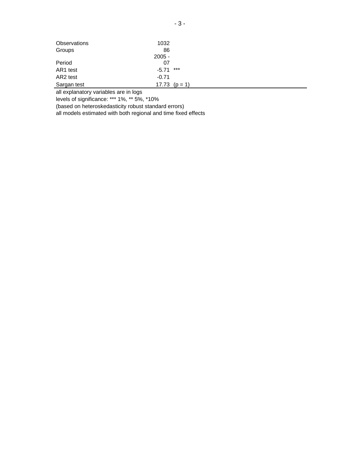| Observations | 1032            |  |
|--------------|-----------------|--|
| Groups       | 86              |  |
|              | $2005 -$        |  |
| Period       | 07              |  |
| AR1 test     | ***<br>$-5.71$  |  |
| AR2 test     | $-0.71$         |  |
| Sargan test  | 17.73 $(p = 1)$ |  |

all explanatory variables are in logs

levels of significance: \*\*\* 1%, \*\* 5%, \*10%

(based on heteroskedasticity robust standard errors)

all models estimated with both regional and time fixed effects